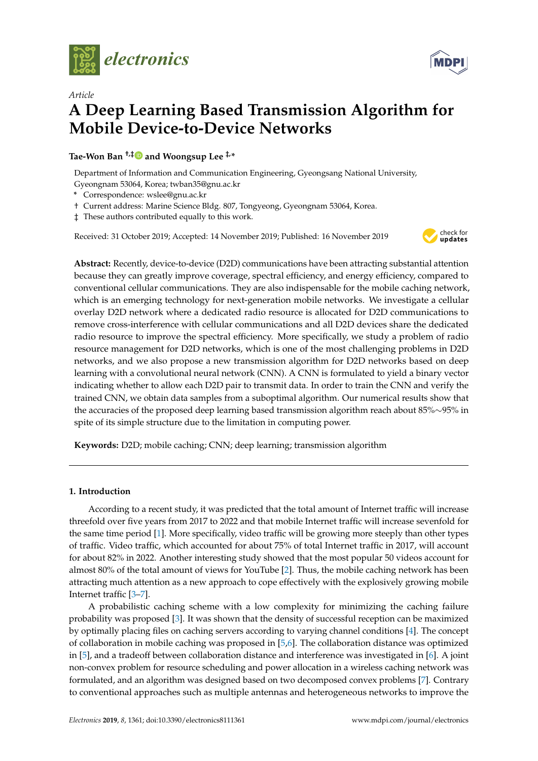

*Article*



# **A Deep Learning Based Transmission Algorithm for Mobile Device-to-Device Networks**

**Tae-Won Ban †,[‡](https://orcid.org/0000-0000-000-000X) and Woongsup Lee ‡,\***

Department of Information and Communication Engineering, Gyeongsang National University, Gyeongnam 53064, Korea; twban35@gnu.ac.kr

- **\*** Correspondence: wslee@gnu.ac.kr
- † Current address: Marine Science Bldg. 807, Tongyeong, Gyeongnam 53064, Korea.
- ‡ These authors contributed equally to this work.

Received: 31 October 2019; Accepted: 14 November 2019; Published: 16 November 2019



**Abstract:** Recently, device-to-device (D2D) communications have been attracting substantial attention because they can greatly improve coverage, spectral efficiency, and energy efficiency, compared to conventional cellular communications. They are also indispensable for the mobile caching network, which is an emerging technology for next-generation mobile networks. We investigate a cellular overlay D2D network where a dedicated radio resource is allocated for D2D communications to remove cross-interference with cellular communications and all D2D devices share the dedicated radio resource to improve the spectral efficiency. More specifically, we study a problem of radio resource management for D2D networks, which is one of the most challenging problems in D2D networks, and we also propose a new transmission algorithm for D2D networks based on deep learning with a convolutional neural network (CNN). A CNN is formulated to yield a binary vector indicating whether to allow each D2D pair to transmit data. In order to train the CNN and verify the trained CNN, we obtain data samples from a suboptimal algorithm. Our numerical results show that the accuracies of the proposed deep learning based transmission algorithm reach about 85%∼95% in spite of its simple structure due to the limitation in computing power.

**Keywords:** D2D; mobile caching; CNN; deep learning; transmission algorithm

## **1. Introduction**

According to a recent study, it was predicted that the total amount of Internet traffic will increase threefold over five years from 2017 to 2022 and that mobile Internet traffic will increase sevenfold for the same time period [\[1\]](#page-10-0). More specifically, video traffic will be growing more steeply than other types of traffic. Video traffic, which accounted for about 75% of total Internet traffic in 2017, will account for about 82% in 2022. Another interesting study showed that the most popular 50 videos account for almost 80% of the total amount of views for YouTube [\[2\]](#page-10-1). Thus, the mobile caching network has been attracting much attention as a new approach to cope effectively with the explosively growing mobile Internet traffic [\[3](#page-10-2)[–7\]](#page-10-3).

A probabilistic caching scheme with a low complexity for minimizing the caching failure probability was proposed [\[3\]](#page-10-2). It was shown that the density of successful reception can be maximized by optimally placing files on caching servers according to varying channel conditions [\[4\]](#page-10-4). The concept of collaboration in mobile caching was proposed in [\[5,](#page-10-5)[6\]](#page-10-6). The collaboration distance was optimized in [\[5\]](#page-10-5), and a tradeoff between collaboration distance and interference was investigated in [\[6\]](#page-10-6). A joint non-convex problem for resource scheduling and power allocation in a wireless caching network was formulated, and an algorithm was designed based on two decomposed convex problems [\[7\]](#page-10-3). Contrary to conventional approaches such as multiple antennas and heterogeneous networks to improve the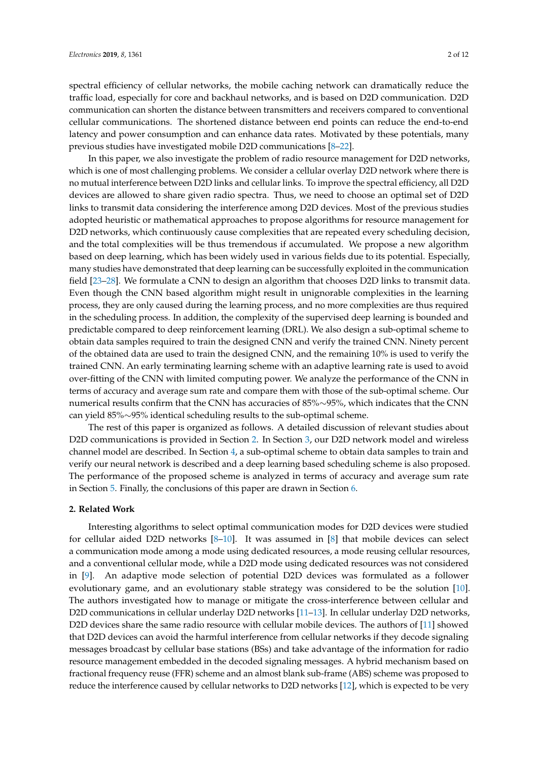spectral efficiency of cellular networks, the mobile caching network can dramatically reduce the traffic load, especially for core and backhaul networks, and is based on D2D communication. D2D communication can shorten the distance between transmitters and receivers compared to conventional cellular communications. The shortened distance between end points can reduce the end-to-end latency and power consumption and can enhance data rates. Motivated by these potentials, many previous studies have investigated mobile D2D communications [\[8](#page-10-7)[–22\]](#page-11-0).

In this paper, we also investigate the problem of radio resource management for D2D networks, which is one of most challenging problems. We consider a cellular overlay D2D network where there is no mutual interference between D2D links and cellular links. To improve the spectral efficiency, all D2D devices are allowed to share given radio spectra. Thus, we need to choose an optimal set of D2D links to transmit data considering the interference among D2D devices. Most of the previous studies adopted heuristic or mathematical approaches to propose algorithms for resource management for D2D networks, which continuously cause complexities that are repeated every scheduling decision, and the total complexities will be thus tremendous if accumulated. We propose a new algorithm based on deep learning, which has been widely used in various fields due to its potential. Especially, many studies have demonstrated that deep learning can be successfully exploited in the communication field [\[23–](#page-11-1)[28\]](#page-11-2). We formulate a CNN to design an algorithm that chooses D2D links to transmit data. Even though the CNN based algorithm might result in unignorable complexities in the learning process, they are only caused during the learning process, and no more complexities are thus required in the scheduling process. In addition, the complexity of the supervised deep learning is bounded and predictable compared to deep reinforcement learning (DRL). We also design a sub-optimal scheme to obtain data samples required to train the designed CNN and verify the trained CNN. Ninety percent of the obtained data are used to train the designed CNN, and the remaining 10% is used to verify the trained CNN. An early terminating learning scheme with an adaptive learning rate is used to avoid over-fitting of the CNN with limited computing power. We analyze the performance of the CNN in terms of accuracy and average sum rate and compare them with those of the sub-optimal scheme. Our numerical results confirm that the CNN has accuracies of 85%∼95%, which indicates that the CNN can yield 85%∼95% identical scheduling results to the sub-optimal scheme.

The rest of this paper is organized as follows. A detailed discussion of relevant studies about D2D communications is provided in Section [2.](#page-1-0) In Section [3,](#page-2-0) our D2D network model and wireless channel model are described. In Section [4,](#page-4-0) a sub-optimal scheme to obtain data samples to train and verify our neural network is described and a deep learning based scheduling scheme is also proposed. The performance of the proposed scheme is analyzed in terms of accuracy and average sum rate in Section [5.](#page-7-0) Finally, the conclusions of this paper are drawn in Section [6.](#page-9-0)

## <span id="page-1-0"></span>**2. Related Work**

Interesting algorithms to select optimal communication modes for D2D devices were studied for cellular aided D2D networks [\[8–](#page-10-7)[10\]](#page-10-8). It was assumed in [\[8\]](#page-10-7) that mobile devices can select a communication mode among a mode using dedicated resources, a mode reusing cellular resources, and a conventional cellular mode, while a D2D mode using dedicated resources was not considered in [\[9\]](#page-10-9). An adaptive mode selection of potential D2D devices was formulated as a follower evolutionary game, and an evolutionary stable strategy was considered to be the solution [\[10\]](#page-10-8). The authors investigated how to manage or mitigate the cross-interference between cellular and D2D communications in cellular underlay D2D networks [\[11–](#page-10-10)[13\]](#page-10-11). In cellular underlay D2D networks, D2D devices share the same radio resource with cellular mobile devices. The authors of [\[11\]](#page-10-10) showed that D2D devices can avoid the harmful interference from cellular networks if they decode signaling messages broadcast by cellular base stations (BSs) and take advantage of the information for radio resource management embedded in the decoded signaling messages. A hybrid mechanism based on fractional frequency reuse (FFR) scheme and an almost blank sub-frame (ABS) scheme was proposed to reduce the interference caused by cellular networks to D2D networks [\[12\]](#page-10-12), which is expected to be very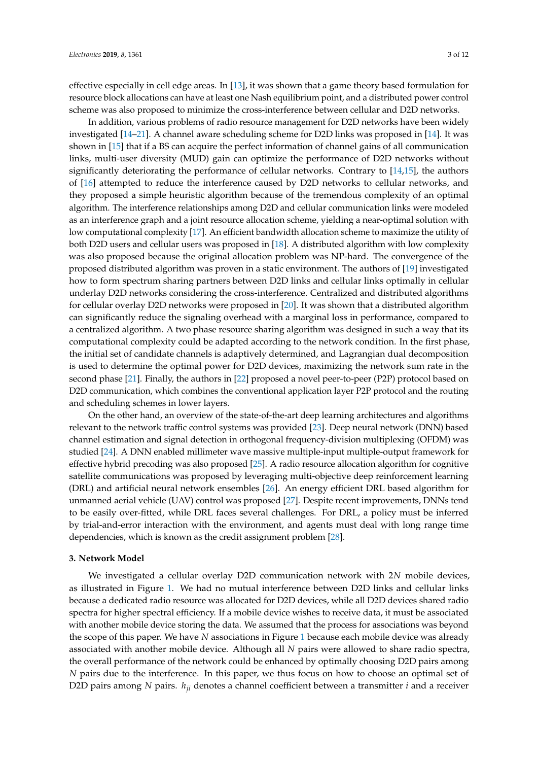effective especially in cell edge areas. In [\[13\]](#page-10-11), it was shown that a game theory based formulation for resource block allocations can have at least one Nash equilibrium point, and a distributed power control scheme was also proposed to minimize the cross-interference between cellular and D2D networks.

In addition, various problems of radio resource management for D2D networks have been widely investigated [\[14](#page-10-13)[–21\]](#page-11-3). A channel aware scheduling scheme for D2D links was proposed in [\[14\]](#page-10-13). It was shown in [\[15\]](#page-10-14) that if a BS can acquire the perfect information of channel gains of all communication links, multi-user diversity (MUD) gain can optimize the performance of D2D networks without significantly deteriorating the performance of cellular networks. Contrary to [\[14](#page-10-13)[,15\]](#page-10-14), the authors of [\[16\]](#page-10-15) attempted to reduce the interference caused by D2D networks to cellular networks, and they proposed a simple heuristic algorithm because of the tremendous complexity of an optimal algorithm. The interference relationships among D2D and cellular communication links were modeled as an interference graph and a joint resource allocation scheme, yielding a near-optimal solution with low computational complexity [\[17\]](#page-10-16). An efficient bandwidth allocation scheme to maximize the utility of both D2D users and cellular users was proposed in [\[18\]](#page-10-17). A distributed algorithm with low complexity was also proposed because the original allocation problem was NP-hard. The convergence of the proposed distributed algorithm was proven in a static environment. The authors of [\[19\]](#page-11-4) investigated how to form spectrum sharing partners between D2D links and cellular links optimally in cellular underlay D2D networks considering the cross-interference. Centralized and distributed algorithms for cellular overlay D2D networks were proposed in [\[20\]](#page-11-5). It was shown that a distributed algorithm can significantly reduce the signaling overhead with a marginal loss in performance, compared to a centralized algorithm. A two phase resource sharing algorithm was designed in such a way that its computational complexity could be adapted according to the network condition. In the first phase, the initial set of candidate channels is adaptively determined, and Lagrangian dual decomposition is used to determine the optimal power for D2D devices, maximizing the network sum rate in the second phase [\[21\]](#page-11-3). Finally, the authors in [\[22\]](#page-11-0) proposed a novel peer-to-peer (P2P) protocol based on D2D communication, which combines the conventional application layer P2P protocol and the routing and scheduling schemes in lower layers.

On the other hand, an overview of the state-of-the-art deep learning architectures and algorithms relevant to the network traffic control systems was provided [\[23\]](#page-11-1). Deep neural network (DNN) based channel estimation and signal detection in orthogonal frequency-division multiplexing (OFDM) was studied [\[24\]](#page-11-6). A DNN enabled millimeter wave massive multiple-input multiple-output framework for effective hybrid precoding was also proposed [\[25\]](#page-11-7). A radio resource allocation algorithm for cognitive satellite communications was proposed by leveraging multi-objective deep reinforcement learning (DRL) and artificial neural network ensembles [\[26\]](#page-11-8). An energy efficient DRL based algorithm for unmanned aerial vehicle (UAV) control was proposed [\[27\]](#page-11-9). Despite recent improvements, DNNs tend to be easily over-fitted, while DRL faces several challenges. For DRL, a policy must be inferred by trial-and-error interaction with the environment, and agents must deal with long range time dependencies, which is known as the credit assignment problem [\[28\]](#page-11-2).

## <span id="page-2-0"></span>**3. Network Model**

We investigated a cellular overlay D2D communication network with 2*N* mobile devices, as illustrated in Figure [1.](#page-3-0) We had no mutual interference between D2D links and cellular links because a dedicated radio resource was allocated for D2D devices, while all D2D devices shared radio spectra for higher spectral efficiency. If a mobile device wishes to receive data, it must be associated with another mobile device storing the data. We assumed that the process for associations was beyond the scope of this paper. We have *N* associations in Figure [1](#page-3-0) because each mobile device was already associated with another mobile device. Although all *N* pairs were allowed to share radio spectra, the overall performance of the network could be enhanced by optimally choosing D2D pairs among *N* pairs due to the interference. In this paper, we thus focus on how to choose an optimal set of D2D pairs among *N* pairs. *hji* denotes a channel coefficient between a transmitter *i* and a receiver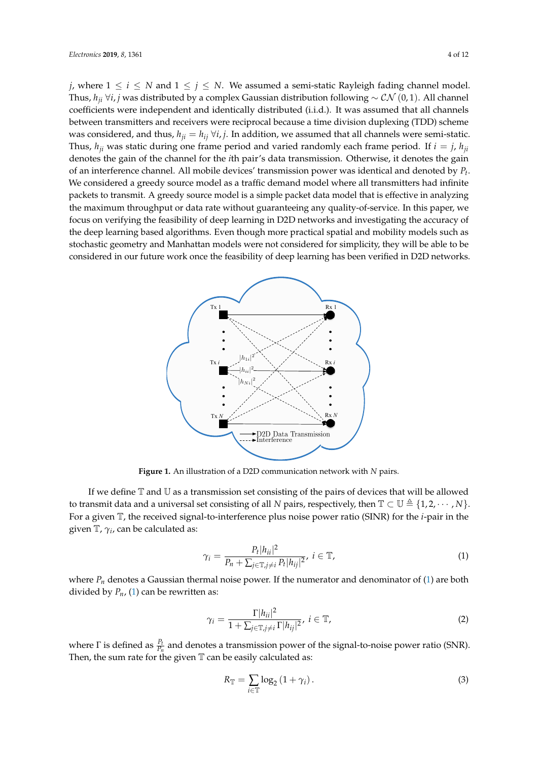*j*, where  $1 \le i \le N$  and  $1 \le j \le N$ . We assumed a semi-static Rayleigh fading channel model. Thus, *hji* ∀*i*, *j* was distributed by a complex Gaussian distribution following ∼ CN (0, 1). All channel coefficients were independent and identically distributed (i.i.d.). It was assumed that all channels between transmitters and receivers were reciprocal because a time division duplexing (TDD) scheme was considered, and thus,  $h_{ji} = h_{ij} \forall i, j$ . In addition, we assumed that all channels were semi-static. Thus,  $h_{ji}$  was static during one frame period and varied randomly each frame period. If  $i = j$ ,  $h_{ji}$ denotes the gain of the channel for the *i*th pair's data transmission. Otherwise, it denotes the gain of an interference channel. All mobile devices' transmission power was identical and denoted by *P<sup>t</sup>* . We considered a greedy source model as a traffic demand model where all transmitters had infinite packets to transmit. A greedy source model is a simple packet data model that is effective in analyzing the maximum throughput or data rate without guaranteeing any quality-of-service. In this paper, we focus on verifying the feasibility of deep learning in D2D networks and investigating the accuracy of the deep learning based algorithms. Even though more practical spatial and mobility models such as stochastic geometry and Manhattan models were not considered for simplicity, they will be able to be considered in our future work once the feasibility of deep learning has been verified in D2D networks.

<span id="page-3-0"></span>

**Figure 1.** An illustration of a D2D communication network with *N* pairs.

If we define  $\mathbb T$  and  $\mathbb U$  as a transmission set consisting of the pairs of devices that will be allowed to transmit data and a universal set consisting of all *N* pairs, respectively, then  $\mathbb{T} \subset \mathbb{U} \triangleq \{1, 2, \cdots, N\}$ . For a given T, the received signal-to-interference plus noise power ratio (SINR) for the *i*-pair in the given  $\mathbb{T}$ ,  $\gamma_i$ , can be calculated as:

<span id="page-3-1"></span>
$$
\gamma_i = \frac{P_t |h_{ii}|^2}{P_n + \sum_{j \in \mathbb{T}, j \neq i} P_t |h_{ij}|^2}, \ i \in \mathbb{T}, \tag{1}
$$

where  $P_n$  denotes a Gaussian thermal noise power. If the numerator and denominator of [\(1\)](#page-3-1) are both divided by  $P_n$ , [\(1\)](#page-3-1) can be rewritten as:

$$
\gamma_i = \frac{\Gamma|h_{ii}|^2}{1 + \sum_{j \in \mathbb{T}, j \neq i} \Gamma|h_{ij}|^2}, \ i \in \mathbb{T}, \tag{2}
$$

where  $\Gamma$  is defined as  $\frac{P_t}{P_n}$  and denotes a transmission power of the signal-to-noise power ratio (SNR). Then, the sum rate for the given  $\mathbb T$  can be easily calculated as:

$$
R_{\mathbb{T}} = \sum_{i \in \mathbb{T}} \log_2 \left( 1 + \gamma_i \right). \tag{3}
$$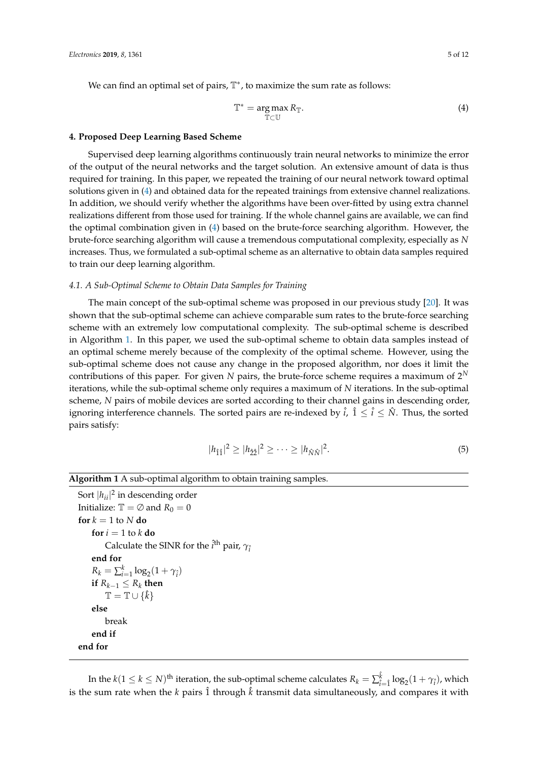We can find an optimal set of pairs, T ∗ , to maximize the sum rate as follows:

<span id="page-4-1"></span>
$$
\mathbb{T}^* = \underset{\mathbb{T} \subset \mathbb{U}}{\arg \max} R_{\mathbb{T}}.\tag{4}
$$

## <span id="page-4-0"></span>**4. Proposed Deep Learning Based Scheme**

Supervised deep learning algorithms continuously train neural networks to minimize the error of the output of the neural networks and the target solution. An extensive amount of data is thus required for training. In this paper, we repeated the training of our neural network toward optimal solutions given in [\(4\)](#page-4-1) and obtained data for the repeated trainings from extensive channel realizations. In addition, we should verify whether the algorithms have been over-fitted by using extra channel realizations different from those used for training. If the whole channel gains are available, we can find the optimal combination given in [\(4\)](#page-4-1) based on the brute-force searching algorithm. However, the brute-force searching algorithm will cause a tremendous computational complexity, especially as *N* increases. Thus, we formulated a sub-optimal scheme as an alternative to obtain data samples required to train our deep learning algorithm.

# *4.1. A Sub-Optimal Scheme to Obtain Data Samples for Training*

The main concept of the sub-optimal scheme was proposed in our previous study [\[20\]](#page-11-5). It was shown that the sub-optimal scheme can achieve comparable sum rates to the brute-force searching scheme with an extremely low computational complexity. The sub-optimal scheme is described in Algorithm [1.](#page-4-2) In this paper, we used the sub-optimal scheme to obtain data samples instead of an optimal scheme merely because of the complexity of the optimal scheme. However, using the sub-optimal scheme does not cause any change in the proposed algorithm, nor does it limit the contributions of this paper. For given N pairs, the brute-force scheme requires a maximum of  $2^N$ iterations, while the sub-optimal scheme only requires a maximum of *N* iterations. In the sub-optimal scheme, *N* pairs of mobile devices are sorted according to their channel gains in descending order, ignoring interference channels. The sorted pairs are re-indexed by  $\hat{i}$ ,  $\hat{1} \leq \hat{i} \leq \hat{N}$ . Thus, the sorted pairs satisfy:

$$
|h_{\hat{1}\hat{1}}|^2 \ge |h_{\hat{2}\hat{2}}|^2 \ge \cdots \ge |h_{\hat{N}\hat{N}}|^2. \tag{5}
$$

# <span id="page-4-2"></span>**Algorithm 1** A sub-optimal algorithm to obtain training samples.

```
Sort |h_{ii}|^2 in descending order
Initialize: \mathbb{T} = \emptyset and R_0 = 0for k = 1 to N do
     for i = 1 to k do
           Calculate the SINR for the \hat{i}^{\text{th}} pair, \gamma_{\hat{i}}end for
      R_k = \sum_{i=1}^k \log_2(1 + \gamma_i)if R<sup>k−1</sup> ≤ R<sup>k</sup> then
          \mathbb{T} = \mathbb{T} \cup \{\hat{k}\}\else
          break
     end if
end for
```
In the  $k(1 \leq k \leq N)$ <sup>th</sup> iteration, the sub-optimal scheme calculates  $R_k = \sum_{\hat{i}}^{\hat{k}}$  $\int_{\hat{i}= \hat{1}}^{\kappa} \log_2(1+\gamma_{\hat{i}})$ , which is the sum rate when the  $k$  pairs  $\hat{1}$  through  $\hat{k}$  transmit data simultaneously, and compares it with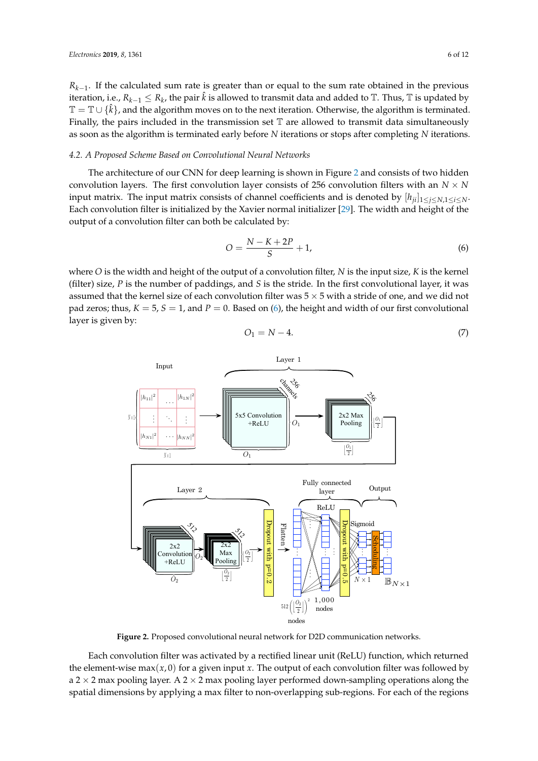*R*<sub>*k*−1</sub>. If the calculated sum rate is greater than or equal to the sum rate obtained in the previous iteration, i.e.,  $R_{k-1} \leq R_k$ , the pair  $\hat{k}$  is allowed to transmit data and added to  $\mathbb{T}$ . Thus,  $\mathbb{T}$  is updated by <sup>T</sup> <sup>=</sup> <sup>T</sup> ∪ {ˆ*k*}, and the algorithm moves on to the next iteration. Otherwise, the algorithm is terminated. Finally, the pairs included in the transmission set  $\mathbb T$  are allowed to transmit data simultaneously as soon as the algorithm is terminated early before *N* iterations or stops after completing *N* iterations.

#### *4.2. A Proposed Scheme Based on Convolutional Neural Networks*

The architecture of our CNN for deep learning is shown in Figure [2](#page-5-0) and consists of two hidden convolution layers. The first convolution layer consists of 256 convolution filters with an  $N \times N$ input matrix. The input matrix consists of channel coefficients and is denoted by  $[h_{ii}]_{1\leq i\leq N,1\leq i\leq N}$ . Each convolution filter is initialized by the Xavier normal initializer [\[29\]](#page-11-10). The width and height of the output of a convolution filter can both be calculated by:

<span id="page-5-1"></span>
$$
O = \frac{N - K + 2P}{S} + 1,\tag{6}
$$

where *O* is the width and height of the output of a convolution filter, *N* is the input size, *K* is the kernel (filter) size, *P* is the number of paddings, and *S* is the stride. In the first convolutional layer, it was assumed that the kernel size of each convolution filter was  $5 \times 5$  with a stride of one, and we did not pad zeros; thus,  $K = 5$ ,  $S = 1$ , and  $P = 0$ . Based on [\(6\)](#page-5-1), the height and width of our first convolutional layer is given by:

<span id="page-5-2"></span>
$$
O_1 = N - 4.\tag{7}
$$

<span id="page-5-0"></span>

**Figure 2.** Proposed convolutional neural network for D2D communication networks.

Each convolution filter was activated by a rectified linear unit (ReLU) function, which returned the element-wise max $(x, 0)$  for a given input x. The output of each convolution filter was followed by a 2  $\times$  2 max pooling layer. A 2  $\times$  2 max pooling layer performed down-sampling operations along the spatial dimensions by applying a max filter to non-overlapping sub-regions. For each of the regions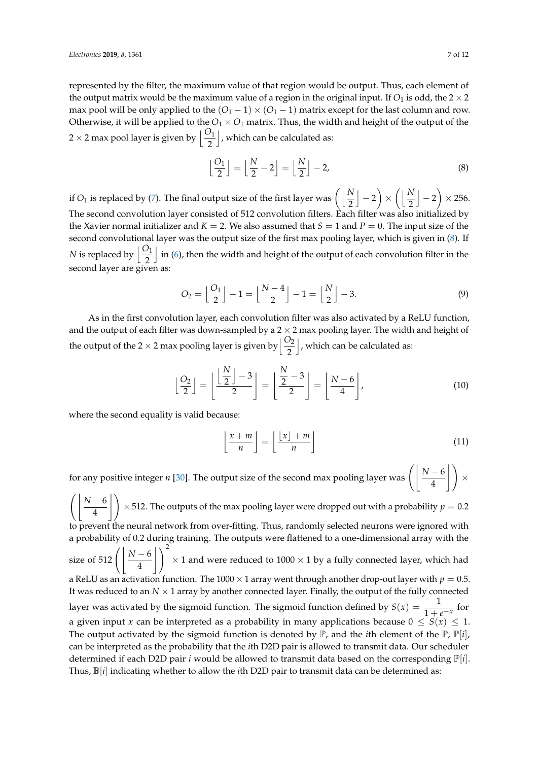represented by the filter, the maximum value of that region would be output. Thus, each element of the output matrix would be the maximum value of a region in the original input. If  $O_1$  is odd, the  $2 \times 2$ max pool will be only applied to the  $(O_1 - 1) \times (O_1 - 1)$  matrix except for the last column and row. Otherwise, it will be applied to the  $O_1 \times O_1$  matrix. Thus, the width and height of the output of the  $2 \times 2$  max pool layer is given by  $\left\lfloor \frac{O_1}{2} \right\rfloor$ |, which can be calculated as:

<span id="page-6-0"></span>
$$
\left\lfloor \frac{O_1}{2} \right\rfloor = \left\lfloor \frac{N}{2} - 2 \right\rfloor = \left\lfloor \frac{N}{2} \right\rfloor - 2,\tag{8}
$$

if  $O_1$  is replaced by [\(7\)](#page-5-2). The final output size of the first layer was  $\left( \left\lfloor \frac{N}{2} \right\rfloor \right)$  $\vert -2$  $\setminus$ ×  $\bigcap N$ 2  $\vert -2$  $\setminus$  $\times$  256. The second convolution layer consisted of 512 convolution filters. Each filter was also initialized by the Xavier normal initializer and  $K = 2$ . We also assumed that  $S = 1$  and  $P = 0$ . The input size of the second convolutional layer was the output size of the first max pooling layer, which is given in [\(8\)](#page-6-0). If *N* is replaced by  $\left[\frac{O_1}{2}\right]$ In [\(6\)](#page-5-1), then the width and height of the output of each convolution filter in the second layer are given as:

$$
O_2 = \left\lfloor \frac{O_1}{2} \right\rfloor - 1 = \left\lfloor \frac{N-4}{2} \right\rfloor - 1 = \left\lfloor \frac{N}{2} \right\rfloor - 3. \tag{9}
$$

As in the first convolution layer, each convolution filter was also activated by a ReLU function, and the output of each filter was down-sampled by a  $2 \times 2$  max pooling layer. The width and height of the output of the 2  $\times$  2 max pooling layer is given by  $\left\lfloor \frac{O_2}{2} \right\rfloor$ |, which can be calculated as:

$$
\left\lfloor \frac{O_2}{2} \right\rfloor = \left\lfloor \frac{\left\lfloor \frac{N}{2} \right\rfloor - 3}{2} \right\rfloor = \left\lfloor \frac{\frac{N}{2} - 3}{2} \right\rfloor = \left\lfloor \frac{N - 6}{4} \right\rfloor,
$$
\n(10)

where the second equality is valid because:

$$
\left\lfloor \frac{x+m}{n} \right\rfloor = \left\lfloor \frac{\lfloor x \rfloor + m}{n} \right\rfloor \tag{11}
$$

for any positive integer *n* [\[30\]](#page-11-11). The output size of the second max pooling layer was  $\left( \left| \frac{N-6}{4} \right| \right)$  $| \lambda$ ×  $\int$  *N* − 6 4  $| \lambda$  $\times$  512. The outputs of the max pooling layer were dropped out with a probability  $p=0.2$ to prevent the neural network from over-fitting. Thus, randomly selected neurons were ignored with a probability of 0.2 during training. The outputs were flattened to a one-dimensional array with the size of 512  $\left( \left| \frac{N-6}{4} \right| \right)$  $\bigcup$ <sup>2</sup>  $\times$  1 and were reduced to 1000  $\times$  1 by a fully connected layer, which had a ReLU as an activation function. The 1000  $\times$  1 array went through another drop-out layer with  $p = 0.5$ . It was reduced to an  $N \times 1$  array by another connected layer. Finally, the output of the fully connected layer was activated by the sigmoid function. The sigmoid function defined by  $S(x) = \frac{1}{1+e^{-x}}$  for a given input *x* can be interpreted as a probability in many applications because  $0 \le S(x) \le 1$ . The output activated by the sigmoid function is denoted by  $\mathbb{P}$ , and the *i*th element of the  $\mathbb{P}$ ,  $\mathbb{P}[i]$ , can be interpreted as the probability that the *i*th D2D pair is allowed to transmit data. Our scheduler determined if each D2D pair *i* would be allowed to transmit data based on the corresponding  $\mathbb{P}[i]$ . Thus, B[*i*] indicating whether to allow the *i*th D2D pair to transmit data can be determined as: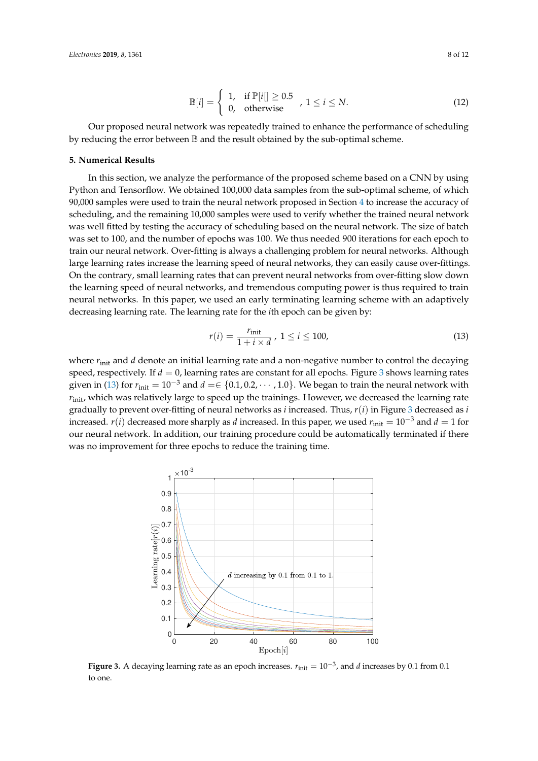$$
\mathbb{B}[i] = \begin{cases} 1, & \text{if } \mathbb{P}[i] \ge 0.5 \\ 0, & \text{otherwise} \end{cases}, 1 \le i \le N. \tag{12}
$$

Our proposed neural network was repeatedly trained to enhance the performance of scheduling by reducing the error between B and the result obtained by the sub-optimal scheme.

#### <span id="page-7-0"></span>**5. Numerical Results**

In this section, we analyze the performance of the proposed scheme based on a CNN by using Python and Tensorflow. We obtained 100,000 data samples from the sub-optimal scheme, of which 90,000 samples were used to train the neural network proposed in Section [4](#page-4-0) to increase the accuracy of scheduling, and the remaining 10,000 samples were used to verify whether the trained neural network was well fitted by testing the accuracy of scheduling based on the neural network. The size of batch was set to 100, and the number of epochs was 100. We thus needed 900 iterations for each epoch to train our neural network. Over-fitting is always a challenging problem for neural networks. Although large learning rates increase the learning speed of neural networks, they can easily cause over-fittings. On the contrary, small learning rates that can prevent neural networks from over-fitting slow down the learning speed of neural networks, and tremendous computing power is thus required to train neural networks. In this paper, we used an early terminating learning scheme with an adaptively decreasing learning rate. The learning rate for the *i*th epoch can be given by:

<span id="page-7-2"></span>
$$
r(i) = \frac{r_{\text{init}}}{1 + i \times d}, \ 1 \le i \le 100,
$$
\n(13)

where  $r_{\text{init}}$  and *d* denote an initial learning rate and a non-negative number to control the decaying speed, respectively. If  $d = 0$ , learning rates are constant for all epochs. Figure [3](#page-7-1) shows learning rates given in [\(13\)](#page-7-2) for  $r_{\text{init}} = 10^{-3}$  and  $d = \in \{0.1, 0.2, \cdots, 1.0\}$ . We began to train the neural network with  $r_{\text{init}}$ , which was relatively large to speed up the trainings. However, we decreased the learning rate gradually to prevent over-fitting of neural networks as *i* increased. Thus, *r*(*i*) in Figure [3](#page-7-1) decreased as *i* increased. *r*(*i*) decreased more sharply as *d* increased. In this paper, we used  $r_{\text{init}} = 10^{-3}$  and  $d = 1$  for our neural network. In addition, our training procedure could be automatically terminated if there was no improvement for three epochs to reduce the training time.

<span id="page-7-1"></span>

**Figure 3.** A decaying learning rate as an epoch increases. *r*init = 10−<sup>3</sup> , and *d* increases by 0.1 from 0.1 to one.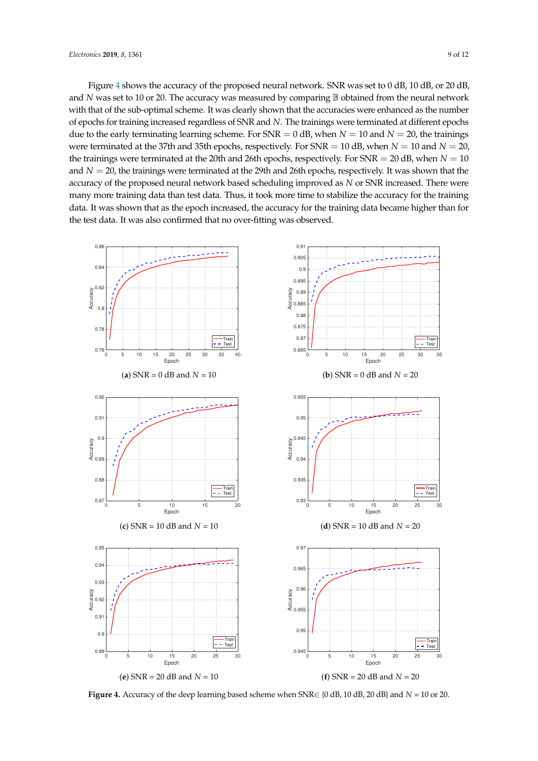Figure [4](#page-8-0) shows the accuracy of the proposed neural network. SNR was set to 0 dB, 10 dB, or 20 dB, and *N* was set to 10 or 20. The accuracy was measured by comparing **B** obtained from the neural network with that of the sub-optimal scheme. It was clearly shown that the accuracies were enhanced as the number of epochs for training increased regardless of SNR and *N*. The trainings were terminated at different epochs due to the early terminating learning scheme. For  $SNR = 0$  dB, when  $N = 10$  and  $N = 20$ , the trainings were terminated at the 37th and 35th epochs, respectively. For  $SNR = 10$  dB, when  $N = 10$  and  $N = 20$ , the trainings were terminated at the 20th and 26th epochs, respectively. For SNR = 20 dB, when *N* = 10 and  $N = 20$ , the trainings were terminated at the 29th and 26th epochs, respectively. It was shown that the accuracy of the proposed neural network based scheduling improved as *N* or SNR increased. There were many more training data than test data. Thus, it took more time to stabilize the accuracy for the training data. It was shown that as the epoch increased, the accuracy for the training data became higher than for the test data. It was also confirmed that no over-fitting was observed.

<span id="page-8-0"></span>

**Figure 4.** Accuracy of the deep learning based scheme when  $SNR \in \{0 \text{ dB}, 10 \text{ dB}, 20 \text{ dB}\}\$  and  $N = 10$  or 20.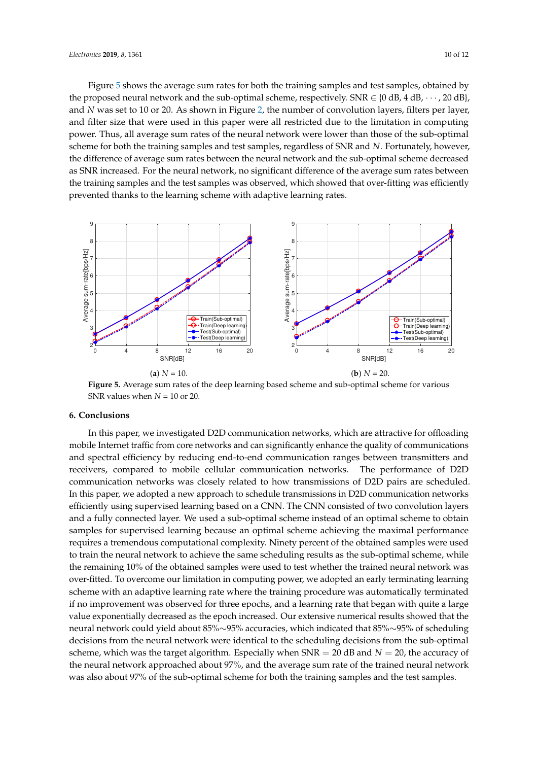Figure [5](#page-9-1) shows the average sum rates for both the training samples and test samples, obtained by the proposed neural network and the sub-optimal scheme, respectively. SNR  $\in \{0 \text{ dB}, 4 \text{ dB}, \cdots, 20 \text{ dB}\}\$ , and *N* was set to 10 or 20. As shown in Figure [2,](#page-5-0) the number of convolution layers, filters per layer, and filter size that were used in this paper were all restricted due to the limitation in computing power. Thus, all average sum rates of the neural network were lower than those of the sub-optimal scheme for both the training samples and test samples, regardless of SNR and *N*. Fortunately, however, the difference of average sum rates between the neural network and the sub-optimal scheme decreased as SNR increased. For the neural network, no significant difference of the average sum rates between the training samples and the test samples was observed, which showed that over-fitting was efficiently prevented thanks to the learning scheme with adaptive learning rates.

<span id="page-9-1"></span>

**Figure 5.** Average sum rates of the deep learning based scheme and sub-optimal scheme for various SNR values when  $N = 10$  or 20.

#### <span id="page-9-0"></span>**6. Conclusions**

In this paper, we investigated D2D communication networks, which are attractive for offloading mobile Internet traffic from core networks and can significantly enhance the quality of communications and spectral efficiency by reducing end-to-end communication ranges between transmitters and receivers, compared to mobile cellular communication networks. The performance of D2D communication networks was closely related to how transmissions of D2D pairs are scheduled. In this paper, we adopted a new approach to schedule transmissions in D2D communication networks efficiently using supervised learning based on a CNN. The CNN consisted of two convolution layers and a fully connected layer. We used a sub-optimal scheme instead of an optimal scheme to obtain samples for supervised learning because an optimal scheme achieving the maximal performance requires a tremendous computational complexity. Ninety percent of the obtained samples were used to train the neural network to achieve the same scheduling results as the sub-optimal scheme, while the remaining 10% of the obtained samples were used to test whether the trained neural network was over-fitted. To overcome our limitation in computing power, we adopted an early terminating learning scheme with an adaptive learning rate where the training procedure was automatically terminated if no improvement was observed for three epochs, and a learning rate that began with quite a large value exponentially decreased as the epoch increased. Our extensive numerical results showed that the neural network could yield about 85%∼95% accuracies, which indicated that 85%∼95% of scheduling decisions from the neural network were identical to the scheduling decisions from the sub-optimal scheme, which was the target algorithm. Especially when SNR = 20 dB and *N* = 20, the accuracy of the neural network approached about 97%, and the average sum rate of the trained neural network was also about 97% of the sub-optimal scheme for both the training samples and the test samples.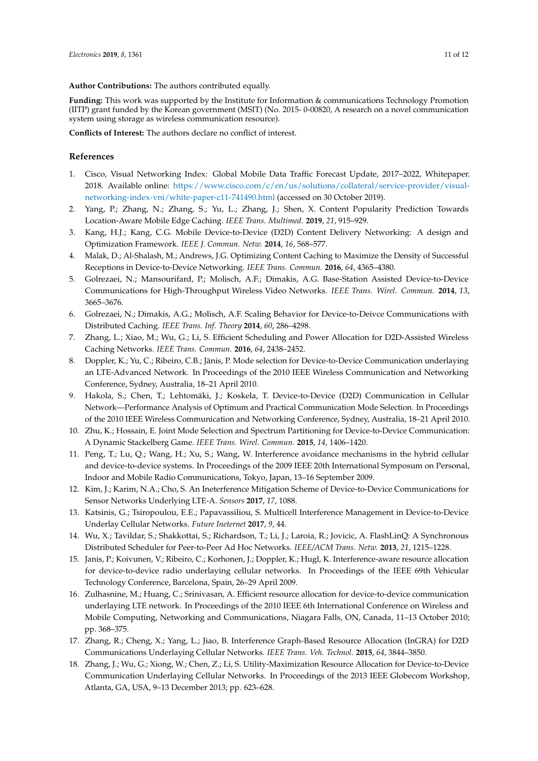**Author Contributions:** The authors contributed equally.

**Funding:** This work was supported by the Institute for Information & communications Technology Promotion (IITP) grant funded by the Korean government (MSIT) (No. 2015- 0-00820, A research on a novel communication system using storage as wireless communication resource).

**Conflicts of Interest:** The authors declare no conflict of interest.

## **References**

- <span id="page-10-0"></span>1. Cisco, Visual Networking Index: Global Mobile Data Traffic Forecast Update, 2017–2022, Whitepaper. 2018. Available online: [https://www.cisco.com/c/en/us/solutions/collateral/service-provider/visual](https://www.cisco.com/c/en/us/solutions/collateral/service-provider/visual-networking-index-vni/white-paper-c11-741490.html)[networking-index-vni/white-paper-c11-741490.html](https://www.cisco.com/c/en/us/solutions/collateral/service-provider/visual-networking-index-vni/white-paper-c11-741490.html) (accessed on 30 October 2019).
- <span id="page-10-1"></span>2. Yang, P.; Zhang, N.; Zhang, S.; Yu, L.; Zhang, J.; Shen, X. Content Popularity Prediction Towards Location-Aware Mobile Edge Caching. *IEEE Trans. Multimed.* **2019**, *21*, 915–929.
- <span id="page-10-2"></span>3. Kang, H.J.; Kang, C.G. Mobile Device-to-Device (D2D) Content Delivery Networking: A design and Optimization Framework. *IEEE J. Commun. Netw.* **2014**, *16*, 568–577.
- <span id="page-10-4"></span>4. Malak, D.; Al-Shalash, M.; Andrews, J.G. Optimizing Content Caching to Maximize the Density of Successful Receptions in Device-to-Device Networking. *IEEE Trans. Commun.* **2016**, *64*, 4365–4380.
- <span id="page-10-5"></span>5. Golrezaei, N.; Mansourifard, P.; Molisch, A.F.; Dimakis, A.G. Base-Station Assisted Device-to-Device Communications for High-Throughput Wireless Video Networks. *IEEE Trans. Wirel. Commun.* **2014**, *13*, 3665–3676.
- <span id="page-10-6"></span>6. Golrezaei, N.; Dimakis, A.G.; Molisch, A.F. Scaling Behavior for Device-to-Deivce Communications with Distributed Caching. *IEEE Trans. Inf. Theory* **2014**, *60*, 286–4298.
- <span id="page-10-3"></span>7. Zhang, L.; Xiao, M.; Wu, G.; Li, S. Efficient Scheduling and Power Allocation for D2D-Assisted Wireless Caching Networks. *IEEE Trans. Commun.* **2016**, *64*, 2438–2452.
- <span id="page-10-7"></span>8. Doppler, K.; Yu, C.; Ribeiro, C.B.; Jänis, P. Mode selection for Device-to-Device Communication underlaying an LTE-Advanced Network. In Proceedings of the 2010 IEEE Wireless Communication and Networking Conference, Sydney, Australia, 18–21 April 2010.
- <span id="page-10-9"></span>9. Hakola, S.; Chen, T.; Lehtomäki, J.; Koskela, T. Device-to-Device (D2D) Communication in Cellular Network—Performance Analysis of Optimum and Practical Communication Mode Selection. In Proceedings of the 2010 IEEE Wireless Communication and Networking Conference, Sydney, Australia, 18–21 April 2010.
- <span id="page-10-8"></span>10. Zhu, K.; Hossain, E. Joint Mode Selection and Spectrum Partitioning for Device-to-Device Communication: A Dynamic Stackelberg Game. *IEEE Trans. Wirel. Commun.* **2015**, *14*, 1406–1420.
- <span id="page-10-10"></span>11. Peng, T.; Lu, Q.; Wang, H.; Xu, S.; Wang, W. Interference avoidance mechanisms in the hybrid cellular and device-to-device systems. In Proceedings of the 2009 IEEE 20th International Symposum on Personal, Indoor and Mobile Radio Communications, Tokyo, Japan, 13–16 September 2009.
- <span id="page-10-12"></span>12. Kim, J.; Karim, N.A.; Cho, S. An Ineterference Mitigation Scheme of Device-to-Device Communications for Sensor Networks Underlying LTE-A. *Sensors* **2017**, *17*, 1088.
- <span id="page-10-11"></span>13. Katsinis, G.; Tsiropoulou, E.E.; Papavassiliou, S. Multicell Interference Management in Device-to-Device Underlay Cellular Networks. *Future Ineternet* **2017**, *9*, 44.
- <span id="page-10-13"></span>14. Wu, X.; Tavildar, S.; Shakkottai, S.; Richardson, T.; Li, J.; Laroia, R.; Jovicic, A. FlashLinQ: A Synchronous Distributed Scheduler for Peer-to-Peer Ad Hoc Networks. *IEEE/ACM Trans. Netw.* **2013**, *21*, 1215–1228.
- <span id="page-10-14"></span>15. Janis, P.; Koivunen, V.; Ribeiro, C.; Korhonen, J.; Doppler, K.; Hugl, K. Interference-aware resource allocation for device-to-device radio underlaying cellular networks. In Proceedings of the IEEE 69th Vehicular Technology Conference, Barcelona, Spain, 26–29 April 2009.
- <span id="page-10-15"></span>16. Zulhasnine, M.; Huang, C.; Srinivasan, A. Efficient resource allocation for device-to-device communication underlaying LTE network. In Proceedings of the 2010 IEEE 6th International Conference on Wireless and Mobile Computing, Networking and Communications, Niagara Falls, ON, Canada, 11–13 October 2010; pp. 368–375.
- <span id="page-10-16"></span>17. Zhang, R.; Cheng, X.; Yang, L.; Jiao, B. Interference Graph-Based Resource Allocation (InGRA) for D2D Communications Underlaying Cellular Networks. *IEEE Trans. Veh. Technol.* **2015**, *64*, 3844–3850.
- <span id="page-10-17"></span>18. Zhang, J.; Wu, G.; Xiong, W.; Chen, Z.; Li, S. Utility-Maximization Resource Allocation for Device-to-Device Communication Underlaying Cellular Networks. In Proceedings of the 2013 IEEE Globecom Workshop, Atlanta, GA, USA, 9–13 December 2013; pp. 623–628.